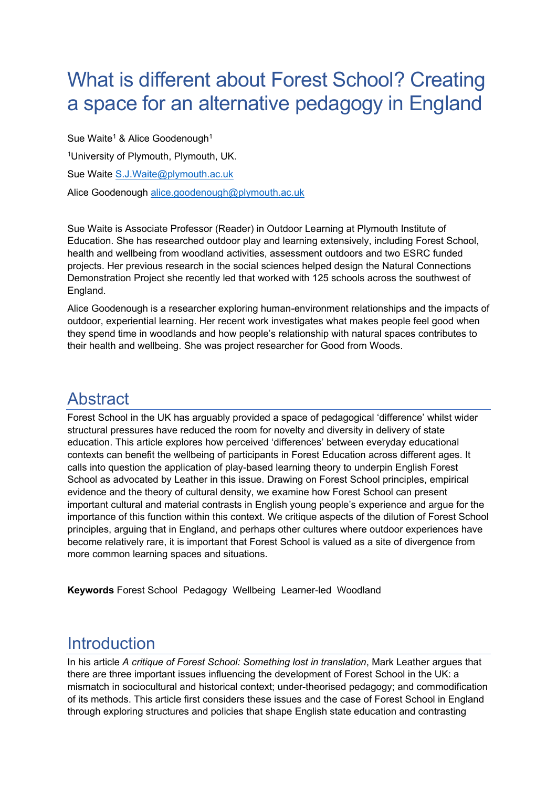# What is different about Forest School? Creating a space for an alternative pedagogy in England

Sue Waite<sup>1</sup> & Alice Goodenough<sup>1</sup> 1University of Plymouth, Plymouth, UK. Sue Waite [S.J.Waite@plymouth.ac.uk](mailto:S.J.Waite@plymouth.ac.uk) Alice Goodenough [alice.goodenough@plymouth.ac.uk](mailto:alice.goodenough@plymouth.ac.uk)

Sue Waite is Associate Professor (Reader) in Outdoor Learning at Plymouth Institute of Education. She has researched outdoor play and learning extensively, including Forest School, health and wellbeing from woodland activities, assessment outdoors and two ESRC funded projects. Her previous research in the social sciences helped design the Natural Connections Demonstration Project she recently led that worked with 125 schools across the southwest of England.

Alice Goodenough is a researcher exploring human-environment relationships and the impacts of outdoor, experiential learning. Her recent work investigates what makes people feel good when they spend time in woodlands and how people's relationship with natural spaces contributes to their health and wellbeing. She was project researcher for Good from Woods.

# Abstract

Forest School in the UK has arguably provided a space of pedagogical 'difference' whilst wider structural pressures have reduced the room for novelty and diversity in delivery of state education. This article explores how perceived 'differences' between everyday educational contexts can benefit the wellbeing of participants in Forest Education across different ages. It calls into question the application of play-based learning theory to underpin English Forest School as advocated by Leather in this issue. Drawing on Forest School principles, empirical evidence and the theory of cultural density, we examine how Forest School can present important cultural and material contrasts in English young people's experience and argue for the importance of this function within this context. We critique aspects of the dilution of Forest School principles, arguing that in England, and perhaps other cultures where outdoor experiences have become relatively rare, it is important that Forest School is valued as a site of divergence from more common learning spaces and situations.

**Keywords** Forest School Pedagogy Wellbeing Learner-led Woodland

#### **Introduction**

In his article *A critique of Forest School: Something lost in translation*, Mark Leather argues that there are three important issues influencing the development of Forest School in the UK: a mismatch in sociocultural and historical context; under-theorised pedagogy; and commodification of its methods. This article first considers these issues and the case of Forest School in England through exploring structures and policies that shape English state education and contrasting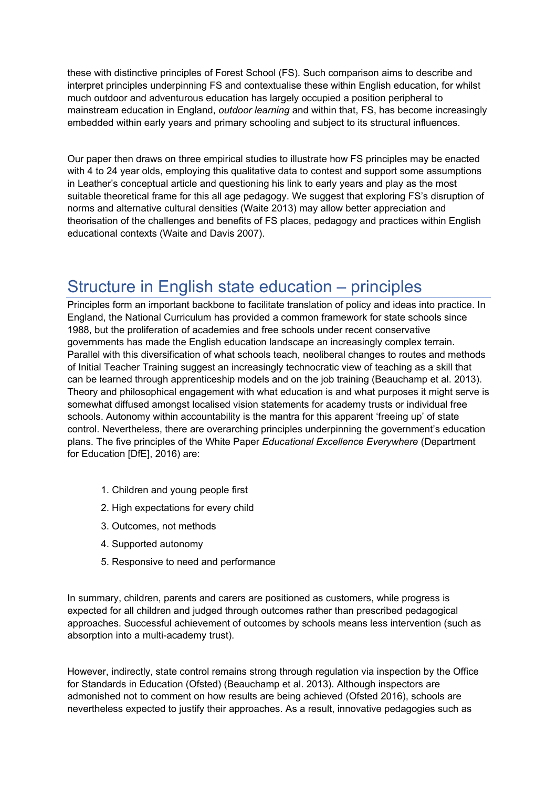these with distinctive principles of Forest School (FS). Such comparison aims to describe and interpret principles underpinning FS and contextualise these within English education, for whilst much outdoor and adventurous education has largely occupied a position peripheral to mainstream education in England, *outdoor learning* and within that, FS, has become increasingly embedded within early years and primary schooling and subject to its structural influences.

Our paper then draws on three empirical studies to illustrate how FS principles may be enacted with 4 to 24 year olds, employing this qualitative data to contest and support some assumptions in Leather's conceptual article and questioning his link to early years and play as the most suitable theoretical frame for this all age pedagogy. We suggest that exploring FS's disruption of norms and alternative cultural densities (Waite 2013) may allow better appreciation and theorisation of the challenges and benefits of FS places, pedagogy and practices within English educational contexts (Waite and Davis 2007).

# Structure in English state education – principles

Principles form an important backbone to facilitate translation of policy and ideas into practice. In England, the National Curriculum has provided a common framework for state schools since 1988, but the proliferation of academies and free schools under recent conservative governments has made the English education landscape an increasingly complex terrain. Parallel with this diversification of what schools teach, neoliberal changes to routes and methods of Initial Teacher Training suggest an increasingly technocratic view of teaching as a skill that can be learned through apprenticeship models and on the job training (Beauchamp et al. 2013). Theory and philosophical engagement with what education is and what purposes it might serve is somewhat diffused amongst localised vision statements for academy trusts or individual free schools. Autonomy within accountability is the mantra for this apparent 'freeing up' of state control. Nevertheless, there are overarching principles underpinning the government's education plans. The five principles of the White Paper *Educational Excellence Everywhere* (Department for Education [DfE], 2016) are:

- 1. Children and young people first
- 2. High expectations for every child
- 3. Outcomes, not methods
- 4. Supported autonomy
- 5. Responsive to need and performance

In summary, children, parents and carers are positioned as customers, while progress is expected for all children and judged through outcomes rather than prescribed pedagogical approaches. Successful achievement of outcomes by schools means less intervention (such as absorption into a multi-academy trust).

However, indirectly, state control remains strong through regulation via inspection by the Office for Standards in Education (Ofsted) (Beauchamp et al. 2013). Although inspectors are admonished not to comment on how results are being achieved (Ofsted 2016), schools are nevertheless expected to justify their approaches. As a result, innovative pedagogies such as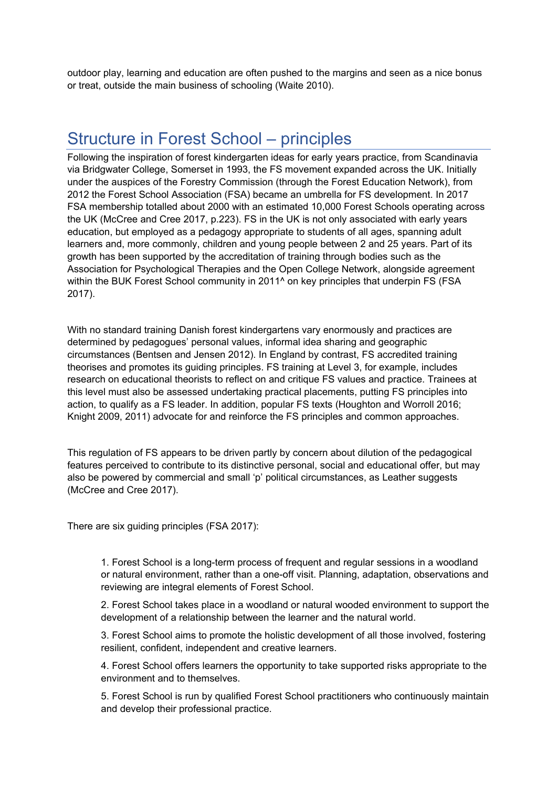outdoor play, learning and education are often pushed to the margins and seen as a nice bonus or treat, outside the main business of schooling (Waite 2010).

#### Structure in Forest School – principles

Following the inspiration of forest kindergarten ideas for early years practice, from Scandinavia via Bridgwater College, Somerset in 1993, the FS movement expanded across the UK. Initially under the auspices of the Forestry Commission (through the Forest Education Network), from 2012 the Forest School Association (FSA) became an umbrella for FS development. In 2017 FSA membership totalled about 2000 with an estimated 10,000 Forest Schools operating across the UK (McCree and Cree 2017, p.223). FS in the UK is not only associated with early years education, but employed as a pedagogy appropriate to students of all ages, spanning adult learners and, more commonly, children and young people between 2 and 25 years. Part of its growth has been supported by the accreditation of training through bodies such as the Association for Psychological Therapies and the Open College Network, alongside agreement within the BUK Forest School community in 2011<sup>^</sup> on key principles that underpin FS (FSA 2017).

With no standard training Danish forest kindergartens vary enormously and practices are determined by pedagogues' personal values, informal idea sharing and geographic circumstances (Bentsen and Jensen 2012). In England by contrast, FS accredited training theorises and promotes its guiding principles. FS training at Level 3, for example, includes research on educational theorists to reflect on and critique FS values and practice. Trainees at this level must also be assessed undertaking practical placements, putting FS principles into action, to qualify as a FS leader. In addition, popular FS texts (Houghton and Worroll 2016; Knight 2009, 2011) advocate for and reinforce the FS principles and common approaches.

This regulation of FS appears to be driven partly by concern about dilution of the pedagogical features perceived to contribute to its distinctive personal, social and educational offer, but may also be powered by commercial and small 'p' political circumstances, as Leather suggests (McCree and Cree 2017).

There are six guiding principles (FSA 2017):

1. Forest School is a long-term process of frequent and regular sessions in a woodland or natural environment, rather than a one-off visit. Planning, adaptation, observations and reviewing are integral elements of Forest School.

2. Forest School takes place in a woodland or natural wooded environment to support the development of a relationship between the learner and the natural world.

3. Forest School aims to promote the holistic development of all those involved, fostering resilient, confident, independent and creative learners.

4. Forest School offers learners the opportunity to take supported risks appropriate to the environment and to themselves.

5. Forest School is run by qualified Forest School practitioners who continuously maintain and develop their professional practice.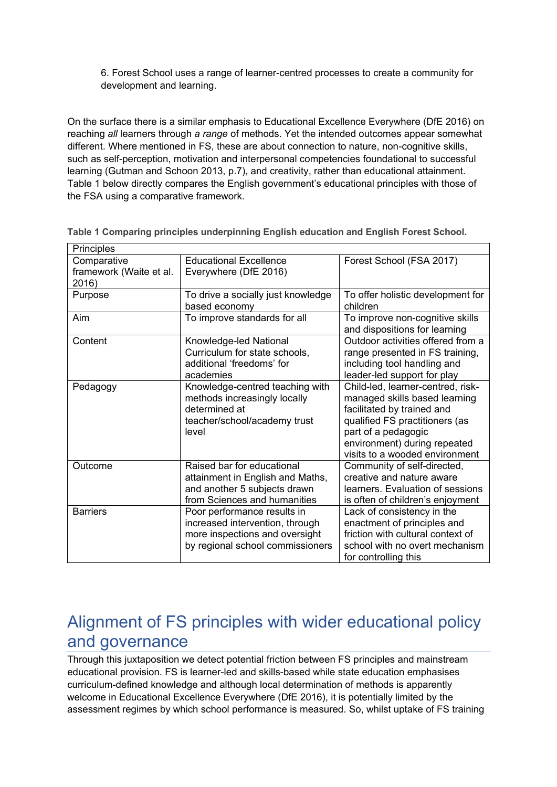6. Forest School uses a range of learner-centred processes to create a community for development and learning.

On the surface there is a similar emphasis to Educational Excellence Everywhere (DfE 2016) on reaching *all* learners through *a range* of methods. Yet the intended outcomes appear somewhat different. Where mentioned in FS, these are about connection to nature, non-cognitive skills, such as self-perception, motivation and interpersonal competencies foundational to successful learning (Gutman and Schoon 2013, p.7), and creativity, rather than educational attainment. Table 1 below directly compares the English government's educational principles with those of the FSA using a comparative framework.

| Principles                       |                                                                                                                                      |                                                                                                                                                                                                                             |
|----------------------------------|--------------------------------------------------------------------------------------------------------------------------------------|-----------------------------------------------------------------------------------------------------------------------------------------------------------------------------------------------------------------------------|
| Comparative                      | <b>Educational Excellence</b>                                                                                                        | Forest School (FSA 2017)                                                                                                                                                                                                    |
| framework (Waite et al.<br>2016) | Everywhere (DfE 2016)                                                                                                                |                                                                                                                                                                                                                             |
| Purpose                          | To drive a socially just knowledge<br>based economy                                                                                  | To offer holistic development for<br>children                                                                                                                                                                               |
| Aim                              | To improve standards for all                                                                                                         | To improve non-cognitive skills<br>and dispositions for learning                                                                                                                                                            |
| Content                          | Knowledge-led National<br>Curriculum for state schools,<br>additional 'freedoms' for<br>academies                                    | Outdoor activities offered from a<br>range presented in FS training,<br>including tool handling and<br>leader-led support for play                                                                                          |
| Pedagogy                         | Knowledge-centred teaching with<br>methods increasingly locally<br>determined at<br>teacher/school/academy trust<br>level            | Child-led, learner-centred, risk-<br>managed skills based learning<br>facilitated by trained and<br>qualified FS practitioners (as<br>part of a pedagogic<br>environment) during repeated<br>visits to a wooded environment |
| Outcome                          | Raised bar for educational<br>attainment in English and Maths,<br>and another 5 subjects drawn<br>from Sciences and humanities       | Community of self-directed,<br>creative and nature aware<br>learners. Evaluation of sessions<br>is often of children's enjoyment                                                                                            |
| <b>Barriers</b>                  | Poor performance results in<br>increased intervention, through<br>more inspections and oversight<br>by regional school commissioners | Lack of consistency in the<br>enactment of principles and<br>friction with cultural context of<br>school with no overt mechanism<br>for controlling this                                                                    |

**Table 1 Comparing principles underpinning English education and English Forest School.**

## Alignment of FS principles with wider educational policy and governance

Through this juxtaposition we detect potential friction between FS principles and mainstream educational provision. FS is learner-led and skills-based while state education emphasises curriculum-defined knowledge and although local determination of methods is apparently welcome in Educational Excellence Everywhere (DfE 2016), it is potentially limited by the assessment regimes by which school performance is measured. So, whilst uptake of FS training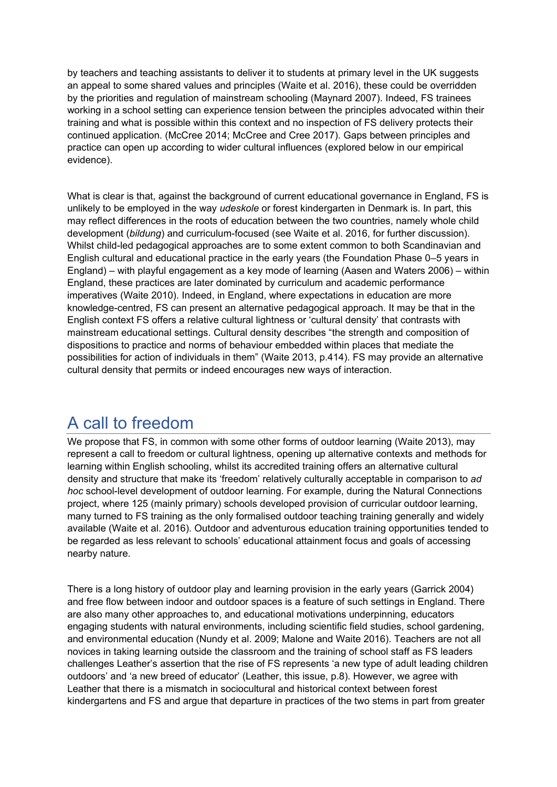by teachers and teaching assistants to deliver it to students at primary level in the UK suggests an appeal to some shared values and principles (Waite et al. 2016), these could be overridden by the priorities and regulation of mainstream schooling (Maynard 2007). Indeed, FS trainees working in a school setting can experience tension between the principles advocated within their training and what is possible within this context and no inspection of FS delivery protects their continued application. (McCree 2014; McCree and Cree 2017). Gaps between principles and practice can open up according to wider cultural influences (explored below in our empirical evidence).

What is clear is that, against the background of current educational governance in England, FS is unlikely to be employed in the way *udeskole* or forest kindergarten in Denmark is. In part, this may reflect differences in the roots of education between the two countries, namely whole child development (*bildung*) and curriculum-focused (see Waite et al. 2016, for further discussion). Whilst child-led pedagogical approaches are to some extent common to both Scandinavian and English cultural and educational practice in the early years (the Foundation Phase 0–5 years in England) – with playful engagement as a key mode of learning (Aasen and Waters 2006) – within England, these practices are later dominated by curriculum and academic performance imperatives (Waite 2010). Indeed, in England, where expectations in education are more knowledge-centred, FS can present an alternative pedagogical approach. It may be that in the English context FS offers a relative cultural lightness or 'cultural density' that contrasts with mainstream educational settings. Cultural density describes "the strength and composition of dispositions to practice and norms of behaviour embedded within places that mediate the possibilities for action of individuals in them" (Waite 2013, p.414). FS may provide an alternative cultural density that permits or indeed encourages new ways of interaction.

## A call to freedom

We propose that FS, in common with some other forms of outdoor learning (Waite 2013), may represent a call to freedom or cultural lightness, opening up alternative contexts and methods for learning within English schooling, whilst its accredited training offers an alternative cultural density and structure that make its 'freedom' relatively culturally acceptable in comparison to *ad hoc* school-level development of outdoor learning. For example, during the Natural Connections project, where 125 (mainly primary) schools developed provision of curricular outdoor learning, many turned to FS training as the only formalised outdoor teaching training generally and widely available (Waite et al. 2016). Outdoor and adventurous education training opportunities tended to be regarded as less relevant to schools' educational attainment focus and goals of accessing nearby nature.

There is a long history of outdoor play and learning provision in the early years (Garrick 2004) and free flow between indoor and outdoor spaces is a feature of such settings in England. There are also many other approaches to, and educational motivations underpinning, educators engaging students with natural environments, including scientific field studies, school gardening, and environmental education (Nundy et al. 2009; Malone and Waite 2016). Teachers are not all novices in taking learning outside the classroom and the training of school staff as FS leaders challenges Leather's assertion that the rise of FS represents 'a new type of adult leading children outdoors' and 'a new breed of educator' (Leather, this issue, p.8). However, we agree with Leather that there is a mismatch in sociocultural and historical context between forest kindergartens and FS and argue that departure in practices of the two stems in part from greater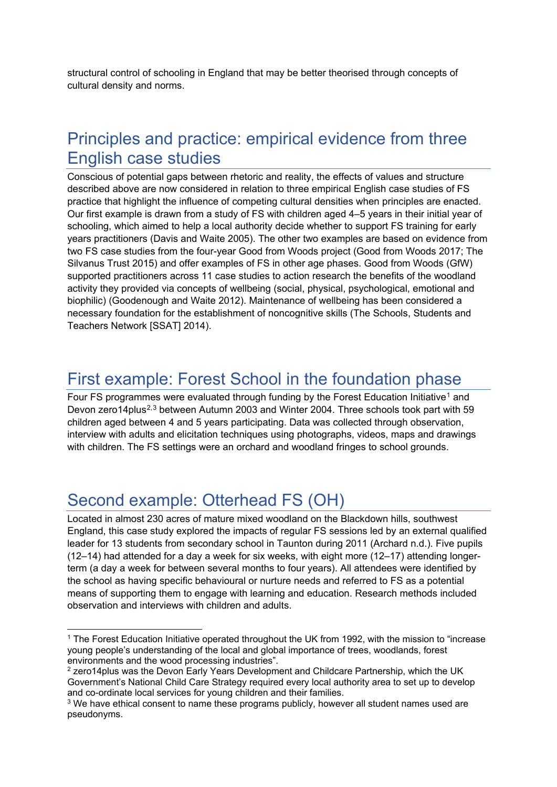structural control of schooling in England that may be better theorised through concepts of cultural density and norms.

## Principles and practice: empirical evidence from three English case studies

Conscious of potential gaps between rhetoric and reality, the effects of values and structure described above are now considered in relation to three empirical English case studies of FS practice that highlight the influence of competing cultural densities when principles are enacted. Our first example is drawn from a study of FS with children aged 4–5 years in their initial year of schooling, which aimed to help a local authority decide whether to support FS training for early years practitioners (Davis and Waite 2005). The other two examples are based on evidence from two FS case studies from the four-year Good from Woods project (Good from Woods 2017; The Silvanus Trust 2015) and offer examples of FS in other age phases. Good from Woods (GfW) supported practitioners across 11 case studies to action research the benefits of the woodland activity they provided via concepts of wellbeing (social, physical, psychological, emotional and biophilic) (Goodenough and Waite 2012). Maintenance of wellbeing has been considered a necessary foundation for the establishment of noncognitive skills (The Schools, Students and Teachers Network [SSAT] 2014).

#### First example: Forest School in the foundation phase

Four FS programmes were evaluated through funding by the Forest Education Initiative<sup>[1](#page-5-0)</sup> and Devon zero14plus<sup>[2](#page-5-1),[3](#page-5-2)</sup> between Autumn 2003 and Winter 2004. Three schools took part with 59 children aged between 4 and 5 years participating. Data was collected through observation, interview with adults and elicitation techniques using photographs, videos, maps and drawings with children. The FS settings were an orchard and woodland fringes to school grounds.

# Second example: Otterhead FS (OH)

Located in almost 230 acres of mature mixed woodland on the Blackdown hills, southwest England, this case study explored the impacts of regular FS sessions led by an external qualified leader for 13 students from secondary school in Taunton during 2011 (Archard n.d.). Five pupils (12–14) had attended for a day a week for six weeks, with eight more (12–17) attending longerterm (a day a week for between several months to four years). All attendees were identified by the school as having specific behavioural or nurture needs and referred to FS as a potential means of supporting them to engage with learning and education. Research methods included observation and interviews with children and adults.

<span id="page-5-0"></span><sup>&</sup>lt;sup>1</sup> The Forest Education Initiative operated throughout the UK from 1992, with the mission to "increase young people's understanding of the local and global importance of trees, woodlands, forest environments and the wood processing industries".

<span id="page-5-1"></span> $2$  zero14plus was the Devon Early Years Development and Childcare Partnership, which the UK Government's National Child Care Strategy required every local authority area to set up to develop and co-ordinate local services for young children and their families.

<span id="page-5-2"></span> $3$  We have ethical consent to name these programs publicly, however all student names used are pseudonyms.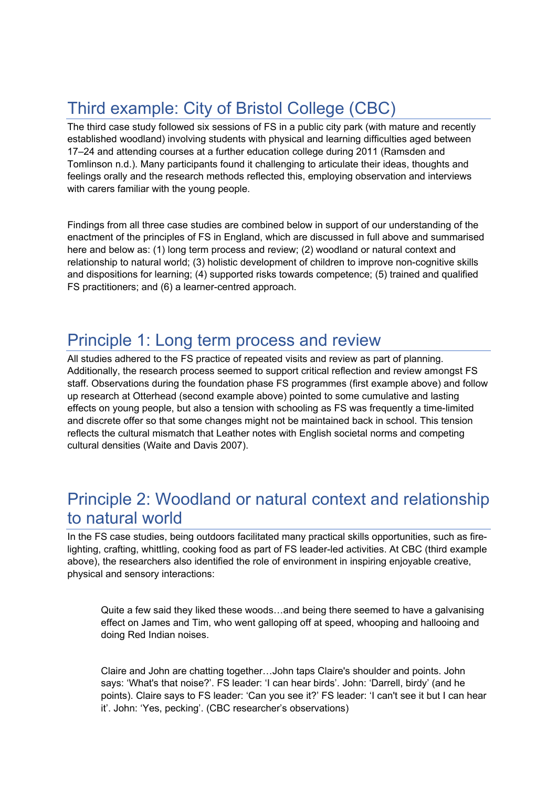# Third example: City of Bristol College (CBC)

The third case study followed six sessions of FS in a public city park (with mature and recently established woodland) involving students with physical and learning difficulties aged between 17–24 and attending courses at a further education college during 2011 (Ramsden and Tomlinson n.d.). Many participants found it challenging to articulate their ideas, thoughts and feelings orally and the research methods reflected this, employing observation and interviews with carers familiar with the young people.

Findings from all three case studies are combined below in support of our understanding of the enactment of the principles of FS in England, which are discussed in full above and summarised here and below as: (1) long term process and review; (2) woodland or natural context and relationship to natural world; (3) holistic development of children to improve non-cognitive skills and dispositions for learning; (4) supported risks towards competence; (5) trained and qualified FS practitioners; and (6) a learner-centred approach.

#### Principle 1: Long term process and review

All studies adhered to the FS practice of repeated visits and review as part of planning. Additionally, the research process seemed to support critical reflection and review amongst FS staff. Observations during the foundation phase FS programmes (first example above) and follow up research at Otterhead (second example above) pointed to some cumulative and lasting effects on young people, but also a tension with schooling as FS was frequently a time-limited and discrete offer so that some changes might not be maintained back in school. This tension reflects the cultural mismatch that Leather notes with English societal norms and competing cultural densities (Waite and Davis 2007).

## Principle 2: Woodland or natural context and relationship to natural world

In the FS case studies, being outdoors facilitated many practical skills opportunities, such as firelighting, crafting, whittling, cooking food as part of FS leader-led activities. At CBC (third example above), the researchers also identified the role of environment in inspiring enjoyable creative, physical and sensory interactions:

Quite a few said they liked these woods…and being there seemed to have a galvanising effect on James and Tim, who went galloping off at speed, whooping and hallooing and doing Red Indian noises.

Claire and John are chatting together…John taps Claire's shoulder and points. John says: 'What's that noise?'. FS leader: 'I can hear birds'. John: 'Darrell, birdy' (and he points). Claire says to FS leader: 'Can you see it?' FS leader: 'I can't see it but I can hear it'. John: 'Yes, pecking'. (CBC researcher's observations)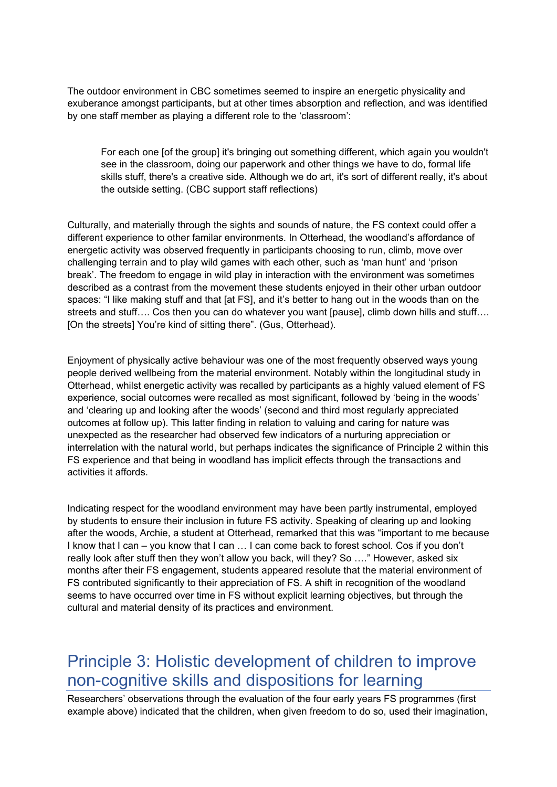The outdoor environment in CBC sometimes seemed to inspire an energetic physicality and exuberance amongst participants, but at other times absorption and reflection, and was identified by one staff member as playing a different role to the 'classroom':

For each one [of the group] it's bringing out something different, which again you wouldn't see in the classroom, doing our paperwork and other things we have to do, formal life skills stuff, there's a creative side. Although we do art, it's sort of different really, it's about the outside setting. (CBC support staff reflections)

Culturally, and materially through the sights and sounds of nature, the FS context could offer a different experience to other familar environments. In Otterhead, the woodland's affordance of energetic activity was observed frequently in participants choosing to run, climb, move over challenging terrain and to play wild games with each other, such as 'man hunt' and 'prison break'. The freedom to engage in wild play in interaction with the environment was sometimes described as a contrast from the movement these students enjoyed in their other urban outdoor spaces: "I like making stuff and that [at FS], and it's better to hang out in the woods than on the streets and stuff.... Cos then you can do whatever you want [pause], climb down hills and stuff.... [On the streets] You're kind of sitting there". (Gus, Otterhead).

Enjoyment of physically active behaviour was one of the most frequently observed ways young people derived wellbeing from the material environment. Notably within the longitudinal study in Otterhead, whilst energetic activity was recalled by participants as a highly valued element of FS experience, social outcomes were recalled as most significant, followed by 'being in the woods' and 'clearing up and looking after the woods' (second and third most regularly appreciated outcomes at follow up). This latter finding in relation to valuing and caring for nature was unexpected as the researcher had observed few indicators of a nurturing appreciation or interrelation with the natural world, but perhaps indicates the significance of Principle 2 within this FS experience and that being in woodland has implicit effects through the transactions and activities it affords.

Indicating respect for the woodland environment may have been partly instrumental, employed by students to ensure their inclusion in future FS activity. Speaking of clearing up and looking after the woods, Archie, a student at Otterhead, remarked that this was "important to me because I know that I can – you know that I can … I can come back to forest school. Cos if you don't really look after stuff then they won't allow you back, will they? So …." However, asked six months after their FS engagement, students appeared resolute that the material environment of FS contributed significantly to their appreciation of FS. A shift in recognition of the woodland seems to have occurred over time in FS without explicit learning objectives, but through the cultural and material density of its practices and environment.

## Principle 3: Holistic development of children to improve non-cognitive skills and dispositions for learning

Researchers' observations through the evaluation of the four early years FS programmes (first example above) indicated that the children, when given freedom to do so, used their imagination,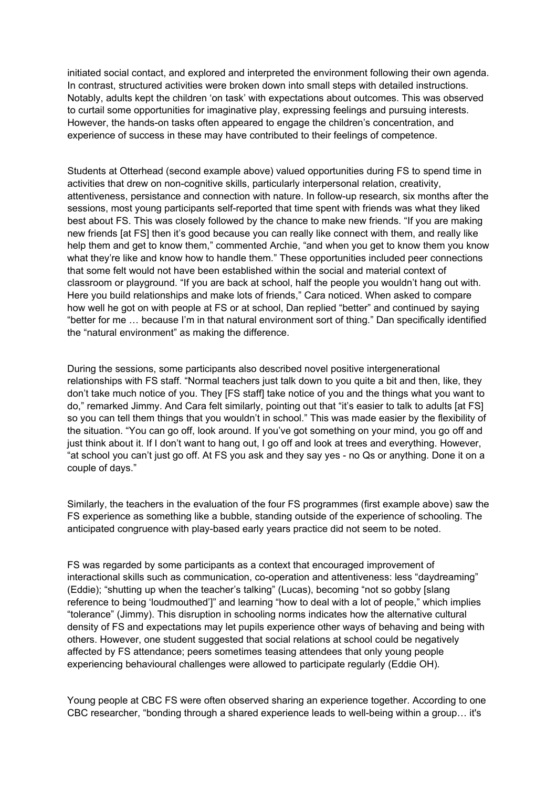initiated social contact, and explored and interpreted the environment following their own agenda. In contrast, structured activities were broken down into small steps with detailed instructions. Notably, adults kept the children 'on task' with expectations about outcomes. This was observed to curtail some opportunities for imaginative play, expressing feelings and pursuing interests. However, the hands-on tasks often appeared to engage the children's concentration, and experience of success in these may have contributed to their feelings of competence.

Students at Otterhead (second example above) valued opportunities during FS to spend time in activities that drew on non-cognitive skills, particularly interpersonal relation, creativity, attentiveness, persistance and connection with nature. In follow-up research, six months after the sessions, most young participants self-reported that time spent with friends was what they liked best about FS. This was closely followed by the chance to make new friends. "If you are making new friends [at FS] then it's good because you can really like connect with them, and really like help them and get to know them," commented Archie, "and when you get to know them you know what they're like and know how to handle them." These opportunities included peer connections that some felt would not have been established within the social and material context of classroom or playground. "If you are back at school, half the people you wouldn't hang out with. Here you build relationships and make lots of friends," Cara noticed. When asked to compare how well he got on with people at FS or at school, Dan replied "better" and continued by saying "better for me … because I'm in that natural environment sort of thing." Dan specifically identified the "natural environment" as making the difference.

During the sessions, some participants also described novel positive intergenerational relationships with FS staff. "Normal teachers just talk down to you quite a bit and then, like, they don't take much notice of you. They [FS staff] take notice of you and the things what you want to do," remarked Jimmy. And Cara felt similarly, pointing out that "it's easier to talk to adults [at FS] so you can tell them things that you wouldn't in school." This was made easier by the flexibility of the situation. "You can go off, look around. If you've got something on your mind, you go off and just think about it. If I don't want to hang out, I go off and look at trees and everything. However, "at school you can't just go off. At FS you ask and they say yes - no Qs or anything. Done it on a couple of days."

Similarly, the teachers in the evaluation of the four FS programmes (first example above) saw the FS experience as something like a bubble, standing outside of the experience of schooling. The anticipated congruence with play-based early years practice did not seem to be noted.

FS was regarded by some participants as a context that encouraged improvement of interactional skills such as communication, co-operation and attentiveness: less "daydreaming" (Eddie); "shutting up when the teacher's talking" (Lucas), becoming "not so gobby [slang reference to being 'loudmouthed']" and learning "how to deal with a lot of people," which implies "tolerance" (Jimmy). This disruption in schooling norms indicates how the alternative cultural density of FS and expectations may let pupils experience other ways of behaving and being with others. However, one student suggested that social relations at school could be negatively affected by FS attendance; peers sometimes teasing attendees that only young people experiencing behavioural challenges were allowed to participate regularly (Eddie OH).

Young people at CBC FS were often observed sharing an experience together. According to one CBC researcher, "bonding through a shared experience leads to well-being within a group… it's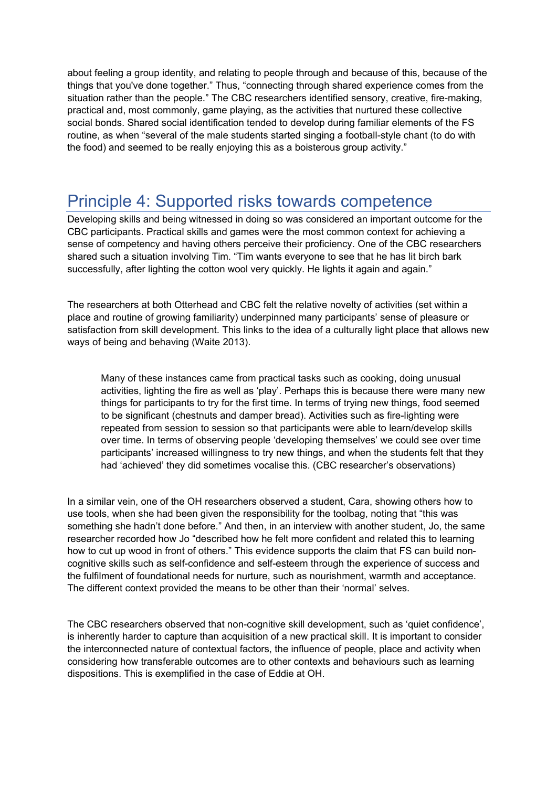about feeling a group identity, and relating to people through and because of this, because of the things that you've done together." Thus, "connecting through shared experience comes from the situation rather than the people." The CBC researchers identified sensory, creative, fire-making, practical and, most commonly, game playing, as the activities that nurtured these collective social bonds. Shared social identification tended to develop during familiar elements of the FS routine, as when "several of the male students started singing a football-style chant (to do with the food) and seemed to be really enjoying this as a boisterous group activity."

## Principle 4: Supported risks towards competence

Developing skills and being witnessed in doing so was considered an important outcome for the CBC participants. Practical skills and games were the most common context for achieving a sense of competency and having others perceive their proficiency. One of the CBC researchers shared such a situation involving Tim. "Tim wants everyone to see that he has lit birch bark successfully, after lighting the cotton wool very quickly. He lights it again and again."

The researchers at both Otterhead and CBC felt the relative novelty of activities (set within a place and routine of growing familiarity) underpinned many participants' sense of pleasure or satisfaction from skill development. This links to the idea of a culturally light place that allows new ways of being and behaving (Waite 2013).

Many of these instances came from practical tasks such as cooking, doing unusual activities, lighting the fire as well as 'play'. Perhaps this is because there were many new things for participants to try for the first time. In terms of trying new things, food seemed to be significant (chestnuts and damper bread). Activities such as fire-lighting were repeated from session to session so that participants were able to learn/develop skills over time. In terms of observing people 'developing themselves' we could see over time participants' increased willingness to try new things, and when the students felt that they had 'achieved' they did sometimes vocalise this. (CBC researcher's observations)

In a similar vein, one of the OH researchers observed a student, Cara, showing others how to use tools, when she had been given the responsibility for the toolbag, noting that "this was something she hadn't done before." And then, in an interview with another student, Jo, the same researcher recorded how Jo "described how he felt more confident and related this to learning how to cut up wood in front of others." This evidence supports the claim that FS can build noncognitive skills such as self-confidence and self-esteem through the experience of success and the fulfilment of foundational needs for nurture, such as nourishment, warmth and acceptance. The different context provided the means to be other than their 'normal' selves.

The CBC researchers observed that non-cognitive skill development, such as 'quiet confidence', is inherently harder to capture than acquisition of a new practical skill. It is important to consider the interconnected nature of contextual factors, the influence of people, place and activity when considering how transferable outcomes are to other contexts and behaviours such as learning dispositions. This is exemplified in the case of Eddie at OH.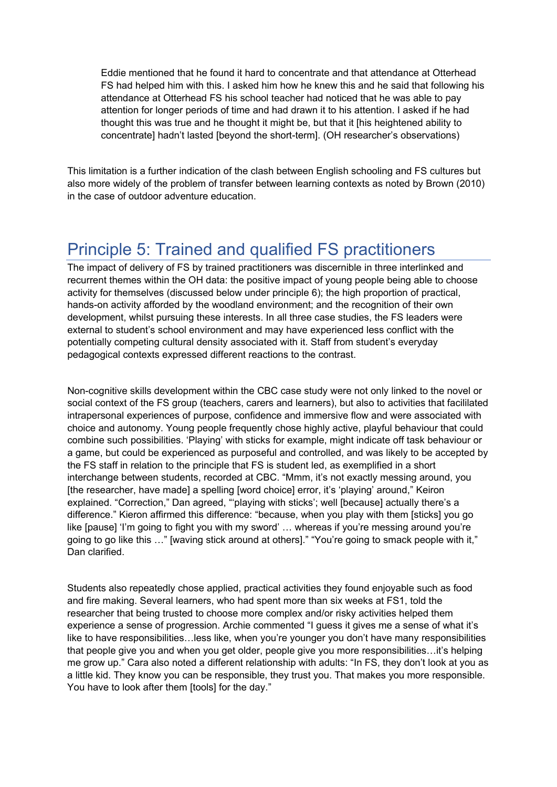Eddie mentioned that he found it hard to concentrate and that attendance at Otterhead FS had helped him with this. I asked him how he knew this and he said that following his attendance at Otterhead FS his school teacher had noticed that he was able to pay attention for longer periods of time and had drawn it to his attention. I asked if he had thought this was true and he thought it might be, but that it [his heightened ability to concentrate] hadn't lasted [beyond the short-term]. (OH researcher's observations)

This limitation is a further indication of the clash between English schooling and FS cultures but also more widely of the problem of transfer between learning contexts as noted by Brown (2010) in the case of outdoor adventure education.

# Principle 5: Trained and qualified FS practitioners

The impact of delivery of FS by trained practitioners was discernible in three interlinked and recurrent themes within the OH data: the positive impact of young people being able to choose activity for themselves (discussed below under principle 6); the high proportion of practical, hands-on activity afforded by the woodland environment; and the recognition of their own development, whilst pursuing these interests. In all three case studies, the FS leaders were external to student's school environment and may have experienced less conflict with the potentially competing cultural density associated with it. Staff from student's everyday pedagogical contexts expressed different reactions to the contrast.

Non-cognitive skills development within the CBC case study were not only linked to the novel or social context of the FS group (teachers, carers and learners), but also to activities that facililated intrapersonal experiences of purpose, confidence and immersive flow and were associated with choice and autonomy. Young people frequently chose highly active, playful behaviour that could combine such possibilities. 'Playing' with sticks for example, might indicate off task behaviour or a game, but could be experienced as purposeful and controlled, and was likely to be accepted by the FS staff in relation to the principle that FS is student led, as exemplified in a short interchange between students, recorded at CBC. "Mmm, it's not exactly messing around, you [the researcher, have made] a spelling [word choice] error, it's 'playing' around," Keiron explained. "Correction," Dan agreed, "'playing with sticks'; well [because] actually there's a difference." Kieron affirmed this difference: "because, when you play with them [sticks] you go like [pause] 'I'm going to fight you with my sword' … whereas if you're messing around you're going to go like this …" [waving stick around at others]." "You're going to smack people with it," Dan clarified.

Students also repeatedly chose applied, practical activities they found enjoyable such as food and fire making. Several learners, who had spent more than six weeks at FS1, told the researcher that being trusted to choose more complex and/or risky activities helped them experience a sense of progression. Archie commented "I guess it gives me a sense of what it's like to have responsibilities…less like, when you're younger you don't have many responsibilities that people give you and when you get older, people give you more responsibilities…it's helping me grow up." Cara also noted a different relationship with adults: "In FS, they don't look at you as a little kid. They know you can be responsible, they trust you. That makes you more responsible. You have to look after them [tools] for the day."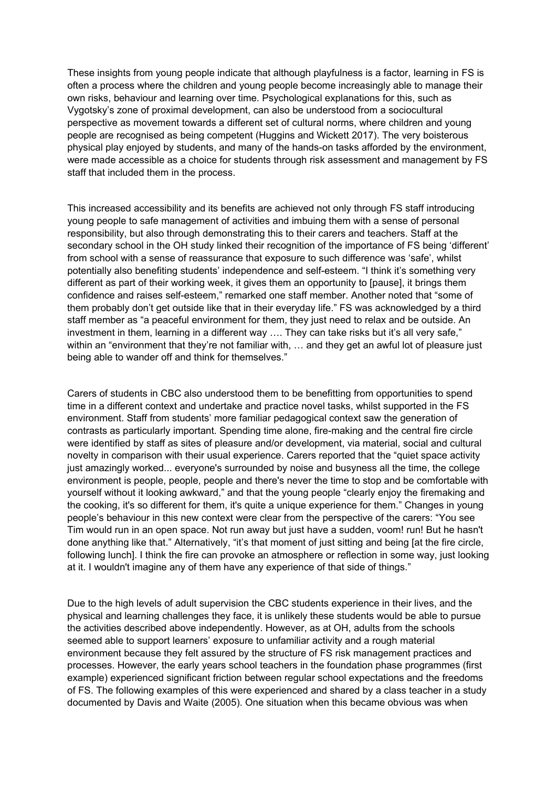These insights from young people indicate that although playfulness is a factor, learning in FS is often a process where the children and young people become increasingly able to manage their own risks, behaviour and learning over time. Psychological explanations for this, such as Vygotsky's zone of proximal development, can also be understood from a sociocultural perspective as movement towards a different set of cultural norms, where children and young people are recognised as being competent (Huggins and Wickett 2017). The very boisterous physical play enjoyed by students, and many of the hands-on tasks afforded by the environment, were made accessible as a choice for students through risk assessment and management by FS staff that included them in the process.

This increased accessibility and its benefits are achieved not only through FS staff introducing young people to safe management of activities and imbuing them with a sense of personal responsibility, but also through demonstrating this to their carers and teachers. Staff at the secondary school in the OH study linked their recognition of the importance of FS being 'different' from school with a sense of reassurance that exposure to such difference was 'safe', whilst potentially also benefiting students' independence and self-esteem. "I think it's something very different as part of their working week, it gives them an opportunity to [pause], it brings them confidence and raises self-esteem," remarked one staff member. Another noted that "some of them probably don't get outside like that in their everyday life." FS was acknowledged by a third staff member as "a peaceful environment for them, they just need to relax and be outside. An investment in them, learning in a different way …. They can take risks but it's all very safe," within an "environment that they're not familiar with, ... and they get an awful lot of pleasure just being able to wander off and think for themselves."

Carers of students in CBC also understood them to be benefitting from opportunities to spend time in a different context and undertake and practice novel tasks, whilst supported in the FS environment. Staff from students' more familiar pedagogical context saw the generation of contrasts as particularly important. Spending time alone, fire-making and the central fire circle were identified by staff as sites of pleasure and/or development, via material, social and cultural novelty in comparison with their usual experience. Carers reported that the "quiet space activity just amazingly worked... everyone's surrounded by noise and busyness all the time, the college environment is people, people, people and there's never the time to stop and be comfortable with yourself without it looking awkward," and that the young people "clearly enjoy the firemaking and the cooking, it's so different for them, it's quite a unique experience for them." Changes in young people's behaviour in this new context were clear from the perspective of the carers: "You see Tim would run in an open space. Not run away but just have a sudden, voom! run! But he hasn't done anything like that." Alternatively, "it's that moment of just sitting and being [at the fire circle, following lunch]. I think the fire can provoke an atmosphere or reflection in some way, just looking at it. I wouldn't imagine any of them have any experience of that side of things."

Due to the high levels of adult supervision the CBC students experience in their lives, and the physical and learning challenges they face, it is unlikely these students would be able to pursue the activities described above independently. However, as at OH, adults from the schools seemed able to support learners' exposure to unfamiliar activity and a rough material environment because they felt assured by the structure of FS risk management practices and processes. However, the early years school teachers in the foundation phase programmes (first example) experienced significant friction between regular school expectations and the freedoms of FS. The following examples of this were experienced and shared by a class teacher in a study documented by Davis and Waite (2005). One situation when this became obvious was when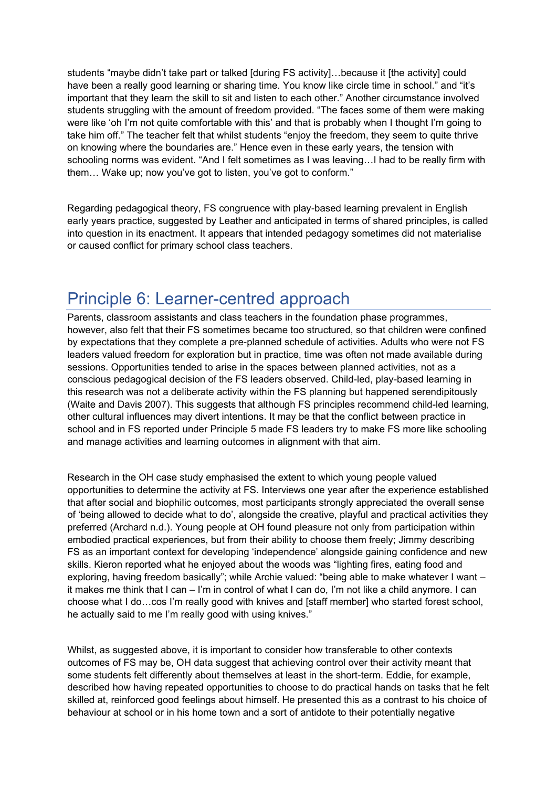students "maybe didn't take part or talked [during FS activity]…because it [the activity] could have been a really good learning or sharing time. You know like circle time in school." and "it's important that they learn the skill to sit and listen to each other." Another circumstance involved students struggling with the amount of freedom provided. "The faces some of them were making were like 'oh I'm not quite comfortable with this' and that is probably when I thought I'm going to take him off." The teacher felt that whilst students "enjoy the freedom, they seem to quite thrive on knowing where the boundaries are." Hence even in these early years, the tension with schooling norms was evident. "And I felt sometimes as I was leaving…I had to be really firm with them… Wake up; now you've got to listen, you've got to conform."

Regarding pedagogical theory, FS congruence with play-based learning prevalent in English early years practice, suggested by Leather and anticipated in terms of shared principles, is called into question in its enactment. It appears that intended pedagogy sometimes did not materialise or caused conflict for primary school class teachers.

#### Principle 6: Learner-centred approach

Parents, classroom assistants and class teachers in the foundation phase programmes, however, also felt that their FS sometimes became too structured, so that children were confined by expectations that they complete a pre-planned schedule of activities. Adults who were not FS leaders valued freedom for exploration but in practice, time was often not made available during sessions. Opportunities tended to arise in the spaces between planned activities, not as a conscious pedagogical decision of the FS leaders observed. Child-led, play-based learning in this research was not a deliberate activity within the FS planning but happened serendipitously (Waite and Davis 2007). This suggests that although FS principles recommend child-led learning, other cultural influences may divert intentions. It may be that the conflict between practice in school and in FS reported under Principle 5 made FS leaders try to make FS more like schooling and manage activities and learning outcomes in alignment with that aim.

Research in the OH case study emphasised the extent to which young people valued opportunities to determine the activity at FS. Interviews one year after the experience established that after social and biophilic outcomes, most participants strongly appreciated the overall sense of 'being allowed to decide what to do', alongside the creative, playful and practical activities they preferred (Archard n.d.). Young people at OH found pleasure not only from participation within embodied practical experiences, but from their ability to choose them freely; Jimmy describing FS as an important context for developing 'independence' alongside gaining confidence and new skills. Kieron reported what he enjoyed about the woods was "lighting fires, eating food and exploring, having freedom basically"; while Archie valued: "being able to make whatever I want – it makes me think that I can – I'm in control of what I can do, I'm not like a child anymore. I can choose what I do…cos I'm really good with knives and [staff member] who started forest school, he actually said to me I'm really good with using knives."

Whilst, as suggested above, it is important to consider how transferable to other contexts outcomes of FS may be, OH data suggest that achieving control over their activity meant that some students felt differently about themselves at least in the short-term. Eddie, for example, described how having repeated opportunities to choose to do practical hands on tasks that he felt skilled at, reinforced good feelings about himself. He presented this as a contrast to his choice of behaviour at school or in his home town and a sort of antidote to their potentially negative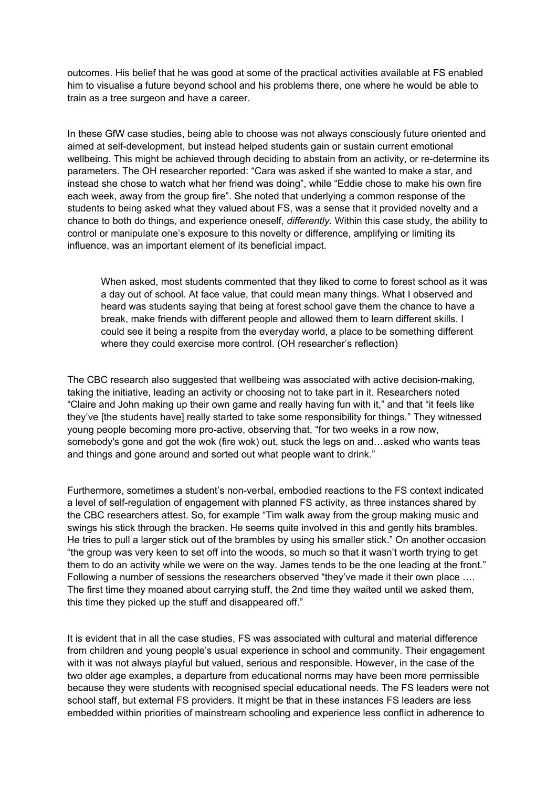outcomes. His belief that he was good at some of the practical activities available at FS enabled him to visualise a future beyond school and his problems there, one where he would be able to train as a tree surgeon and have a career.

In these GfW case studies, being able to choose was not always consciously future oriented and aimed at self-development, but instead helped students gain or sustain current emotional wellbeing. This might be achieved through deciding to abstain from an activity, or re-determine its parameters. The OH researcher reported: "Cara was asked if she wanted to make a star, and instead she chose to watch what her friend was doing", while "Eddie chose to make his own fire each week, away from the group fire". She noted that underlying a common response of the students to being asked what they valued about FS, was a sense that it provided novelty and a chance to both do things, and experience oneself, *differently*. Within this case study, the ability to control or manipulate one's exposure to this novelty or difference, amplifying or limiting its influence, was an important element of its beneficial impact.

When asked, most students commented that they liked to come to forest school as it was a day out of school. At face value, that could mean many things. What I observed and heard was students saying that being at forest school gave them the chance to have a break, make friends with different people and allowed them to learn different skills. I could see it being a respite from the everyday world, a place to be something different where they could exercise more control. (OH researcher's reflection)

The CBC research also suggested that wellbeing was associated with active decision-making, taking the initiative, leading an activity or choosing not to take part in it. Researchers noted "Claire and John making up their own game and really having fun with it," and that "it feels like they've [the students have] really started to take some responsibility for things." They witnessed young people becoming more pro-active, observing that, "for two weeks in a row now, somebody's gone and got the wok (fire wok) out, stuck the legs on and…asked who wants teas and things and gone around and sorted out what people want to drink."

Furthermore, sometimes a student's non-verbal, embodied reactions to the FS context indicated a level of self-regulation of engagement with planned FS activity, as three instances shared by the CBC researchers attest. So, for example "Tim walk away from the group making music and swings his stick through the bracken. He seems quite involved in this and gently hits brambles. He tries to pull a larger stick out of the brambles by using his smaller stick." On another occasion "the group was very keen to set off into the woods, so much so that it wasn't worth trying to get them to do an activity while we were on the way. James tends to be the one leading at the front." Following a number of sessions the researchers observed "they've made it their own place .... The first time they moaned about carrying stuff, the 2nd time they waited until we asked them, this time they picked up the stuff and disappeared off."

It is evident that in all the case studies, FS was associated with cultural and material difference from children and young people's usual experience in school and community. Their engagement with it was not always playful but valued, serious and responsible. However, in the case of the two older age examples, a departure from educational norms may have been more permissible because they were students with recognised special educational needs. The FS leaders were not school staff, but external FS providers. It might be that in these instances FS leaders are less embedded within priorities of mainstream schooling and experience less conflict in adherence to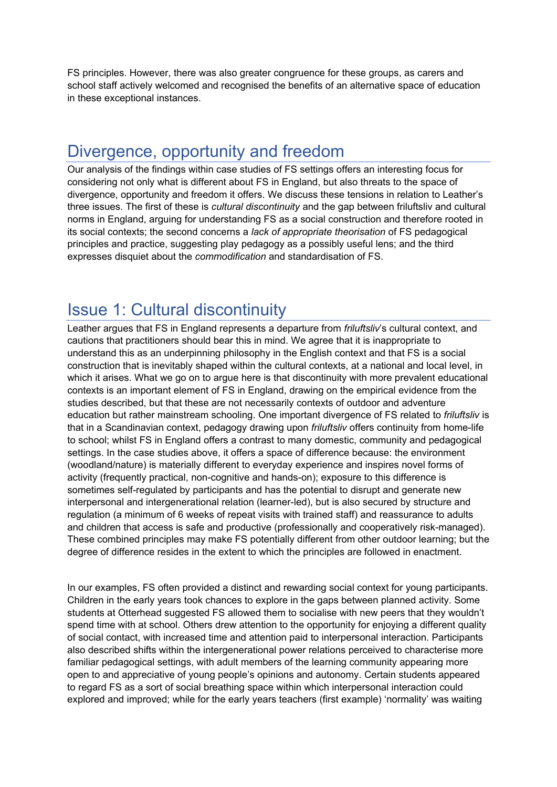FS principles. However, there was also greater congruence for these groups, as carers and school staff actively welcomed and recognised the benefits of an alternative space of education in these exceptional instances.

#### Divergence, opportunity and freedom

Our analysis of the findings within case studies of FS settings offers an interesting focus for considering not only what is different about FS in England, but also threats to the space of divergence, opportunity and freedom it offers. We discuss these tensions in relation to Leather's three issues. The first of these is *cultural discontinuity* and the gap between friluftsliv and cultural norms in England, arguing for understanding FS as a social construction and therefore rooted in its social contexts; the second concerns a *lack of appropriate theorisation* of FS pedagogical principles and practice, suggesting play pedagogy as a possibly useful lens; and the third expresses disquiet about the *commodification* and standardisation of FS.

## Issue 1: Cultural discontinuity

Leather argues that FS in England represents a departure from *friluftsliv*'s cultural context, and cautions that practitioners should bear this in mind. We agree that it is inappropriate to understand this as an underpinning philosophy in the English context and that FS is a social construction that is inevitably shaped within the cultural contexts, at a national and local level, in which it arises. What we go on to argue here is that discontinuity with more prevalent educational contexts is an important element of FS in England, drawing on the empirical evidence from the studies described, but that these are not necessarily contexts of outdoor and adventure education but rather mainstream schooling. One important divergence of FS related to *friluftsliv* is that in a Scandinavian context, pedagogy drawing upon *friluftsliv* offers continuity from home-life to school; whilst FS in England offers a contrast to many domestic, community and pedagogical settings. In the case studies above, it offers a space of difference because: the environment (woodland/nature) is materially different to everyday experience and inspires novel forms of activity (frequently practical, non-cognitive and hands-on); exposure to this difference is sometimes self-regulated by participants and has the potential to disrupt and generate new interpersonal and intergenerational relation (learner-led), but is also secured by structure and regulation (a minimum of 6 weeks of repeat visits with trained staff) and reassurance to adults and children that access is safe and productive (professionally and cooperatively risk-managed). These combined principles may make FS potentially different from other outdoor learning; but the degree of difference resides in the extent to which the principles are followed in enactment.

In our examples, FS often provided a distinct and rewarding social context for young participants. Children in the early years took chances to explore in the gaps between planned activity. Some students at Otterhead suggested FS allowed them to socialise with new peers that they wouldn't spend time with at school. Others drew attention to the opportunity for enjoying a different quality of social contact, with increased time and attention paid to interpersonal interaction. Participants also described shifts within the intergenerational power relations perceived to characterise more familiar pedagogical settings, with adult members of the learning community appearing more open to and appreciative of young people's opinions and autonomy. Certain students appeared to regard FS as a sort of social breathing space within which interpersonal interaction could explored and improved; while for the early years teachers (first example) 'normality' was waiting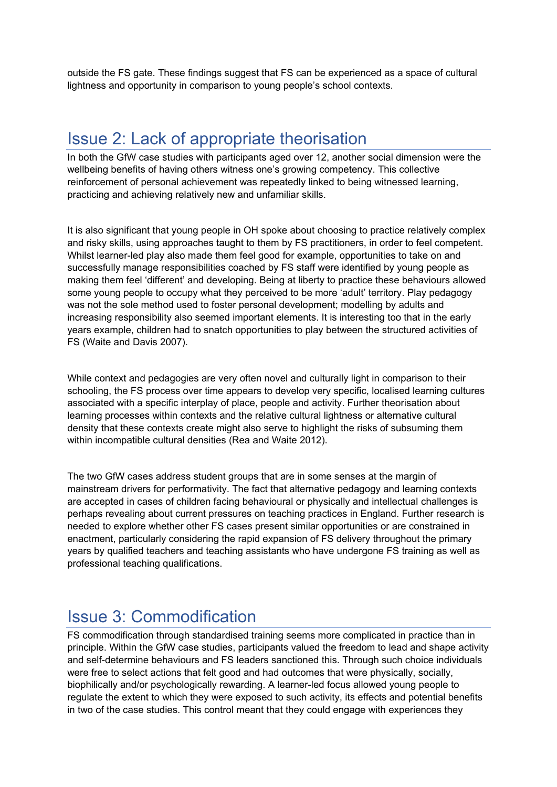outside the FS gate. These findings suggest that FS can be experienced as a space of cultural lightness and opportunity in comparison to young people's school contexts.

# Issue 2: Lack of appropriate theorisation

In both the GfW case studies with participants aged over 12, another social dimension were the wellbeing benefits of having others witness one's growing competency. This collective reinforcement of personal achievement was repeatedly linked to being witnessed learning, practicing and achieving relatively new and unfamiliar skills.

It is also significant that young people in OH spoke about choosing to practice relatively complex and risky skills, using approaches taught to them by FS practitioners, in order to feel competent. Whilst learner-led play also made them feel good for example, opportunities to take on and successfully manage responsibilities coached by FS staff were identified by young people as making them feel 'different' and developing. Being at liberty to practice these behaviours allowed some young people to occupy what they perceived to be more 'adult' territory. Play pedagogy was not the sole method used to foster personal development; modelling by adults and increasing responsibility also seemed important elements. It is interesting too that in the early years example, children had to snatch opportunities to play between the structured activities of FS (Waite and Davis 2007).

While context and pedagogies are very often novel and culturally light in comparison to their schooling, the FS process over time appears to develop very specific, localised learning cultures associated with a specific interplay of place, people and activity. Further theorisation about learning processes within contexts and the relative cultural lightness or alternative cultural density that these contexts create might also serve to highlight the risks of subsuming them within incompatible cultural densities (Rea and Waite 2012).

The two GfW cases address student groups that are in some senses at the margin of mainstream drivers for performativity. The fact that alternative pedagogy and learning contexts are accepted in cases of children facing behavioural or physically and intellectual challenges is perhaps revealing about current pressures on teaching practices in England. Further research is needed to explore whether other FS cases present similar opportunities or are constrained in enactment, particularly considering the rapid expansion of FS delivery throughout the primary years by qualified teachers and teaching assistants who have undergone FS training as well as professional teaching qualifications.

## Issue 3: Commodification

FS commodification through standardised training seems more complicated in practice than in principle. Within the GfW case studies, participants valued the freedom to lead and shape activity and self-determine behaviours and FS leaders sanctioned this. Through such choice individuals were free to select actions that felt good and had outcomes that were physically, socially, biophilically and/or psychologically rewarding. A learner-led focus allowed young people to regulate the extent to which they were exposed to such activity, its effects and potential benefits in two of the case studies. This control meant that they could engage with experiences they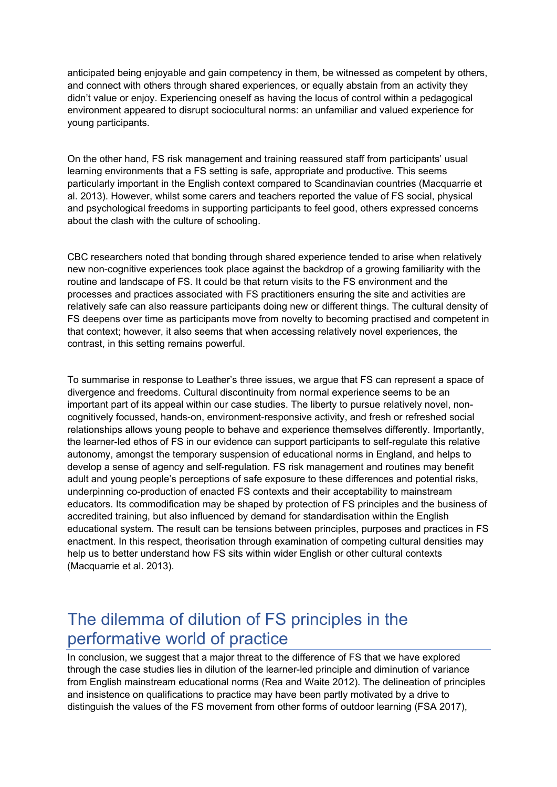anticipated being enjoyable and gain competency in them, be witnessed as competent by others, and connect with others through shared experiences, or equally abstain from an activity they didn't value or enjoy. Experiencing oneself as having the locus of control within a pedagogical environment appeared to disrupt sociocultural norms: an unfamiliar and valued experience for young participants.

On the other hand, FS risk management and training reassured staff from participants' usual learning environments that a FS setting is safe, appropriate and productive. This seems particularly important in the English context compared to Scandinavian countries (Macquarrie et al. 2013). However, whilst some carers and teachers reported the value of FS social, physical and psychological freedoms in supporting participants to feel good, others expressed concerns about the clash with the culture of schooling.

CBC researchers noted that bonding through shared experience tended to arise when relatively new non-cognitive experiences took place against the backdrop of a growing familiarity with the routine and landscape of FS. It could be that return visits to the FS environment and the processes and practices associated with FS practitioners ensuring the site and activities are relatively safe can also reassure participants doing new or different things. The cultural density of FS deepens over time as participants move from novelty to becoming practised and competent in that context; however, it also seems that when accessing relatively novel experiences, the contrast, in this setting remains powerful.

To summarise in response to Leather's three issues, we argue that FS can represent a space of divergence and freedoms. Cultural discontinuity from normal experience seems to be an important part of its appeal within our case studies. The liberty to pursue relatively novel, noncognitively focussed, hands-on, environment-responsive activity, and fresh or refreshed social relationships allows young people to behave and experience themselves differently. Importantly, the learner-led ethos of FS in our evidence can support participants to self-regulate this relative autonomy, amongst the temporary suspension of educational norms in England, and helps to develop a sense of agency and self-regulation. FS risk management and routines may benefit adult and young people's perceptions of safe exposure to these differences and potential risks, underpinning co-production of enacted FS contexts and their acceptability to mainstream educators. Its commodification may be shaped by protection of FS principles and the business of accredited training, but also influenced by demand for standardisation within the English educational system. The result can be tensions between principles, purposes and practices in FS enactment. In this respect, theorisation through examination of competing cultural densities may help us to better understand how FS sits within wider English or other cultural contexts (Macquarrie et al. 2013).

# The dilemma of dilution of FS principles in the performative world of practice

In conclusion, we suggest that a major threat to the difference of FS that we have explored through the case studies lies in dilution of the learner-led principle and diminution of variance from English mainstream educational norms (Rea and Waite 2012). The delineation of principles and insistence on qualifications to practice may have been partly motivated by a drive to distinguish the values of the FS movement from other forms of outdoor learning (FSA 2017),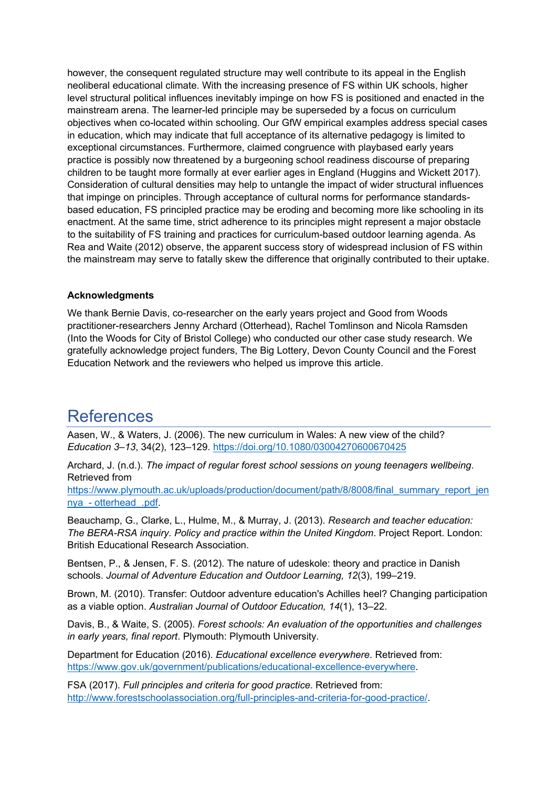however, the consequent regulated structure may well contribute to its appeal in the English neoliberal educational climate. With the increasing presence of FS within UK schools, higher level structural political influences inevitably impinge on how FS is positioned and enacted in the mainstream arena. The learner-led principle may be superseded by a focus on curriculum objectives when co-located within schooling. Our GfW empirical examples address special cases in education, which may indicate that full acceptance of its alternative pedagogy is limited to exceptional circumstances. Furthermore, claimed congruence with playbased early years practice is possibly now threatened by a burgeoning school readiness discourse of preparing children to be taught more formally at ever earlier ages in England (Huggins and Wickett 2017). Consideration of cultural densities may help to untangle the impact of wider structural influences that impinge on principles. Through acceptance of cultural norms for performance standardsbased education, FS principled practice may be eroding and becoming more like schooling in its enactment. At the same time, strict adherence to its principles might represent a major obstacle to the suitability of FS training and practices for curriculum-based outdoor learning agenda. As Rea and Waite (2012) observe, the apparent success story of widespread inclusion of FS within the mainstream may serve to fatally skew the difference that originally contributed to their uptake.

#### **Acknowledgments**

We thank Bernie Davis, co-researcher on the early years project and Good from Woods practitioner-researchers Jenny Archard (Otterhead), Rachel Tomlinson and Nicola Ramsden (Into the Woods for City of Bristol College) who conducted our other case study research. We gratefully acknowledge project funders, The Big Lottery, Devon County Council and the Forest Education Network and the reviewers who helped us improve this article.

#### References

Aasen, W., & Waters, J. (2006). The new curriculum in Wales: A new view of the child? *Education 3–13*, 34(2), 123–129.<https://doi.org/10.1080/03004270600670425>

Archard, J. (n.d.). *The impact of regular forest school sessions on young teenagers wellbeing*. Retrieved from

[https://www.plymouth.ac.uk/uploads/production/document/path/8/8008/final\\_summary\\_report\\_jen](https://www.plymouth.ac.uk/uploads/production/document/path/8/8008/final_summary_report_jennya_-%20otterhead_.pdf) nya\_- [otterhead\\_.pdf.](https://www.plymouth.ac.uk/uploads/production/document/path/8/8008/final_summary_report_jennya_-%20otterhead_.pdf)

Beauchamp, G., Clarke, L., Hulme, M., & Murray, J. (2013). *Research and teacher education: The BERA-RSA inquiry. Policy and practice within the United Kingdom*. Project Report. London: British Educational Research Association.

Bentsen, P., & Jensen, F. S. (2012). The nature of udeskole: theory and practice in Danish schools. *Journal of Adventure Education and Outdoor Learning, 12*(3), 199–219.

Brown, M. (2010). Transfer: Outdoor adventure education's Achilles heel? Changing participation as a viable option. *Australian Journal of Outdoor Education, 14*(1), 13–22.

Davis, B., & Waite, S. (2005). *Forest schools: An evaluation of the opportunities and challenges in early years, final report*. Plymouth: Plymouth University.

Department for Education (2016). *Educational excellence everywhere*. Retrieved from: [https://www.gov.uk/government/publications/educational-excellence-everywhere.](https://www.gov.uk/government/publications/educational-excellence-everywhere)

FSA (2017). *Full principles and criteria for good practice*. Retrieved from: [http://www.forestschoolassociation.org/full-principles-and-criteria-for-good-practice/.](http://www.forestschoolassociation.org/full-principles-and-criteria-for-good-practice/)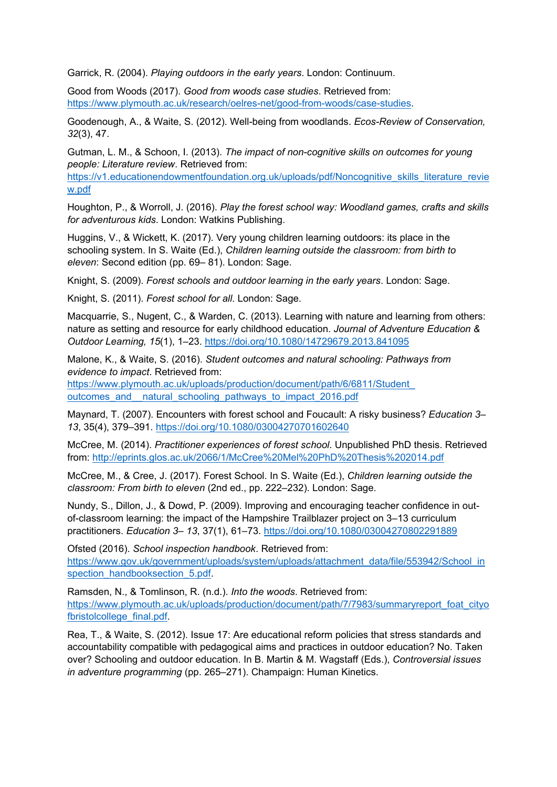Garrick, R. (2004). *Playing outdoors in the early years*. London: Continuum.

Good from Woods (2017). *Good from woods case studies*. Retrieved from: [https://www.plymouth.ac.uk/research/oelres-net/good-from-woods/case-studies.](https://www.plymouth.ac.uk/research/oelres-net/good-from-woods/case-studies)

Goodenough, A., & Waite, S. (2012). Well-being from woodlands. *Ecos-Review of Conservation, 32*(3), 47.

Gutman, L. M., & Schoon, I. (2013). *The impact of non-cognitive skills on outcomes for young people: Literature review*. Retrieved from:

[https://v1.educationendowmentfoundation.org.uk/uploads/pdf/Noncognitive\\_skills\\_literature\\_revie](https://v1.educationendowmentfoundation.org.uk/uploads/pdf/Noncognitive_skills_literature_review.pdf) [w.pdf](https://v1.educationendowmentfoundation.org.uk/uploads/pdf/Noncognitive_skills_literature_review.pdf)

Houghton, P., & Worroll, J. (2016). *Play the forest school way: Woodland games, crafts and skills for adventurous kids*. London: Watkins Publishing.

Huggins, V., & Wickett, K. (2017). Very young children learning outdoors: its place in the schooling system. In S. Waite (Ed.), *Children learning outside the classroom: from birth to eleven*: Second edition (pp. 69– 81). London: Sage.

Knight, S. (2009). *Forest schools and outdoor learning in the early years*. London: Sage.

Knight, S. (2011). *Forest school for all*. London: Sage.

Macquarrie, S., Nugent, C., & Warden, C. (2013). Learning with nature and learning from others: nature as setting and resource for early childhood education. *Journal of Adventure Education & Outdoor Learning, 15*(1), 1–23.<https://doi.org/10.1080/14729679.2013.841095>

Malone, K., & Waite, S. (2016). *Student outcomes and natural schooling: Pathways from evidence to impact*. Retrieved from:

[https://www.plymouth.ac.uk/uploads/production/document/path/6/6811/Student\\_](https://www.plymouth.ac.uk/uploads/production/document/path/6/6811/Student_%20outcomes_and__natural_schooling_pathways_to_impact_2016.pdf)  outcomes and \_natural\_schooling\_pathways\_to\_impact\_2016.pdf

Maynard, T. (2007). Encounters with forest school and Foucault: A risky business? *Education 3– 13*, 35(4), 379–391.<https://doi.org/10.1080/03004270701602640>

McCree, M. (2014). *Practitioner experiences of forest school*. Unpublished PhD thesis. Retrieved from:<http://eprints.glos.ac.uk/2066/1/McCree%20Mel%20PhD%20Thesis%202014.pdf>

McCree, M., & Cree, J. (2017). Forest School. In S. Waite (Ed.), *Children learning outside the classroom: From birth to eleven* (2nd ed., pp. 222–232). London: Sage.

Nundy, S., Dillon, J., & Dowd, P. (2009). Improving and encouraging teacher confidence in outof-classroom learning: the impact of the Hampshire Trailblazer project on 3–13 curriculum practitioners. *Education 3– 13*, 37(1), 61–73. <https://doi.org/10.1080/03004270802291889>

Ofsted (2016). *School inspection handbook*. Retrieved from: [https://www.gov.uk/government/uploads/system/uploads/attachment\\_data/file/553942/School\\_in](https://www.gov.uk/government/uploads/system/uploads/attachment_data/file/553942/School_inspection_handbooksection_5.pdf) [spection\\_handbooksection\\_5.pdf.](https://www.gov.uk/government/uploads/system/uploads/attachment_data/file/553942/School_inspection_handbooksection_5.pdf)

Ramsden, N., & Tomlinson, R. (n.d.). *Into the woods*. Retrieved from: [https://www.plymouth.ac.uk/uploads/production/document/path/7/7983/summaryreport\\_foat\\_cityo](https://www.plymouth.ac.uk/uploads/production/document/path/7/7983/summaryreport_foat_cityofbristolcollege_final.pdf) [fbristolcollege\\_final.pdf.](https://www.plymouth.ac.uk/uploads/production/document/path/7/7983/summaryreport_foat_cityofbristolcollege_final.pdf)

Rea, T., & Waite, S. (2012). Issue 17: Are educational reform policies that stress standards and accountability compatible with pedagogical aims and practices in outdoor education? No. Taken over? Schooling and outdoor education. In B. Martin & M. Wagstaff (Eds.), *Controversial issues in adventure programming* (pp. 265–271). Champaign: Human Kinetics.